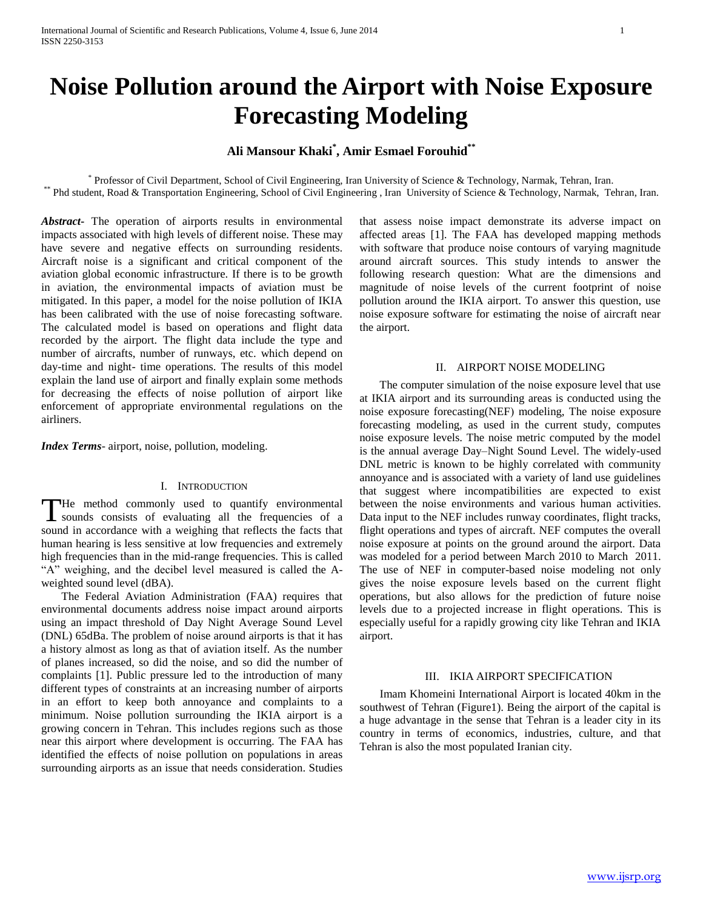# **Noise Pollution around the Airport with Noise Exposure Forecasting Modeling**

# **Ali Mansour Khaki\* , Amir Esmael Forouhid\*\***

\* Professor of Civil Department, School of Civil Engineering, Iran University of Science & Technology, Narmak, Tehran, Iran. \*\* Phd student, Road & Transportation Engineering, School of Civil Engineering , Iran University of Science & Technology, Narmak, Tehran, Iran.

*Abstract***-** The operation of airports results in environmental impacts associated with high levels of different noise. These may have severe and negative effects on surrounding residents. Aircraft noise is a significant and critical component of the aviation global economic infrastructure. If there is to be growth in aviation, the environmental impacts of aviation must be mitigated. In this paper, a model for the noise pollution of IKIA has been calibrated with the use of noise forecasting software. The calculated model is based on operations and flight data recorded by the airport. The flight data include the type and number of aircrafts, number of runways, etc. which depend on day-time and night- time operations. The results of this model explain the land use of airport and finally explain some methods for decreasing the effects of noise pollution of airport like enforcement of appropriate environmental regulations on the airliners.

*Index Terms*- airport, noise, pollution, modeling.

# I. INTRODUCTION

He method commonly used to quantify environmental sounds consists of evaluating all the frequencies of a The method commonly used to quantify environmental sounds consists of evaluating all the frequencies of a sound in accordance with a weighing that reflects the facts that human hearing is less sensitive at low frequencies and extremely high frequencies than in the mid-range frequencies. This is called "A" weighing, and the decibel level measured is called the Aweighted sound level (dBA).

 The Federal Aviation Administration (FAA) requires that environmental documents address noise impact around airports using an impact threshold of Day Night Average Sound Level (DNL) 65dBa. The problem of noise around airports is that it has a history almost as long as that of aviation itself. As the number of planes increased, so did the noise, and so did the number of complaints [1]. Public pressure led to the introduction of many different types of constraints at an increasing number of airports in an effort to keep both annoyance and complaints to a minimum. Noise pollution surrounding the IKIA airport is a growing concern in Tehran. This includes regions such as those near this airport where development is occurring. The FAA has identified the effects of noise pollution on populations in areas surrounding airports as an issue that needs consideration. Studies

that assess noise impact demonstrate its adverse impact on affected areas [1]. The FAA has developed mapping methods with software that produce noise contours of varying magnitude around aircraft sources. This study intends to answer the following research question: What are the dimensions and magnitude of noise levels of the current footprint of noise pollution around the IKIA airport. To answer this question, use noise exposure software for estimating the noise of aircraft near the airport.

# II. AIRPORT NOISE MODELING

 The computer simulation of the noise exposure level that use at IKIA airport and its surrounding areas is conducted using the noise exposure forecasting( $NEF$ ) modeling, The noise exposure forecasting modeling, as used in the current study, computes noise exposure levels. The noise metric computed by the model is the annual average Day–Night Sound Level. The widely-used DNL metric is known to be highly correlated with community annoyance and is associated with a variety of land use guidelines that suggest where incompatibilities are expected to exist between the noise environments and various human activities. Data input to the NEF includes runway coordinates, flight tracks, flight operations and types of aircraft. NEF computes the overall noise exposure at points on the ground around the airport. Data was modeled for a period between March 2010 to March 2011. The use of NEF in computer-based noise modeling not only gives the noise exposure levels based on the current flight operations, but also allows for the prediction of future noise levels due to a projected increase in flight operations. This is especially useful for a rapidly growing city like Tehran and IKIA airport.

#### III. IKIA AIRPORT SPECIFICATION

 Imam Khomeini International Airport is located 40km in the southwest of Tehran (Figure1). Being the airport of the capital is a huge advantage in the sense that Tehran is a leader city in its country in terms of economics, industries, culture, and that Tehran is also the most populated Iranian city.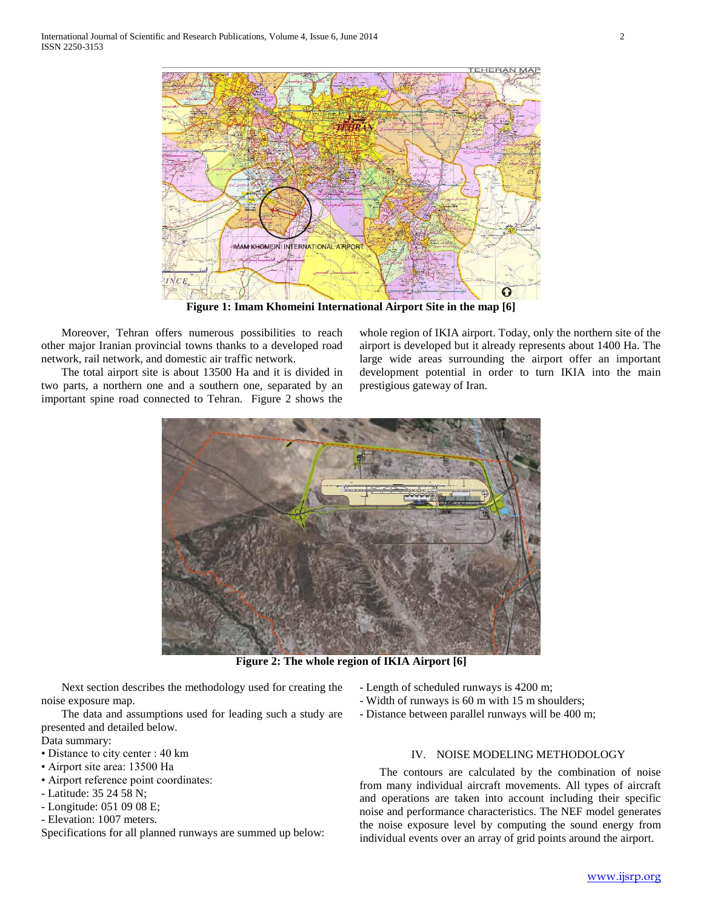

**Figure 1: Imam Khomeini International Airport Site in the map [6]**

 Moreover, Tehran offers numerous possibilities to reach other major Iranian provincial towns thanks to a developed road network, rail network, and domestic air traffic network.

 The total airport site is about 13500 Ha and it is divided in two parts, a northern one and a southern one, separated by an important spine road connected to Tehran. Figure 2 shows the

whole region of IKIA airport. Today, only the northern site of the airport is developed but it already represents about 1400 Ha. The large wide areas surrounding the airport offer an important development potential in order to turn IKIA into the main prestigious gateway of Iran.



**Figure 2: The whole region of IKIA Airport [6]**

 Next section describes the methodology used for creating the noise exposure map.

 The data and assumptions used for leading such a study are presented and detailed below.

- Data summary:
- Distance to city center : 40 km
- Airport site area: 13500 Ha
- Airport reference point coordinates:
- Latitude: 35 24 58 N;
- Longitude: 051 09 08 E;
- Elevation: 1007 meters.
- Specifications for all planned runways are summed up below:
- Length of scheduled runways is 4200 m;
- Width of runways is 60 m with 15 m shoulders;
- Distance between parallel runways will be 400 m;

# IV. NOISE MODELING METHODOLOGY

 The contours are calculated by the combination of noise from many individual aircraft movements. All types of aircraft and operations are taken into account including their specific noise and performance characteristics. The NEF model generates the noise exposure level by computing the sound energy from individual events over an array of grid points around the airport.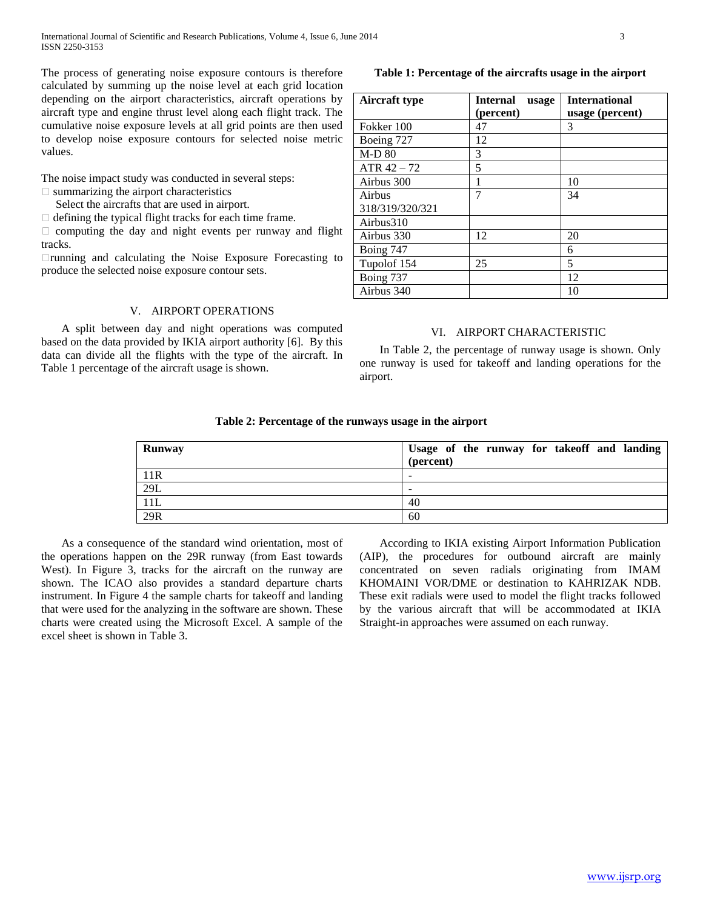The process of generating noise exposure contours is therefore calculated by summing up the noise level at each grid location depending on the airport characteristics, aircraft operations by aircraft type and engine thrust level along each flight track. The cumulative noise exposure levels at all grid points are then used to develop noise exposure contours for selected noise metric values.

The noise impact study was conducted in several steps:  $\square$  summarizing the airport characteristics

Select the aircrafts that are used in airport.

 $\Box$  defining the typical flight tracks for each time frame.

 $\Box$  computing the day and night events per runway and flight tracks.

running and calculating the Noise Exposure Forecasting to produce the selected noise exposure contour sets.

#### V. AIRPORT OPERATIONS

 A split between day and night operations was computed based on the data provided by IKIA airport authority [6]. By this data can divide all the flights with the type of the aircraft. In Table 1 percentage of the aircraft usage is shown.

#### **Table 1: Percentage of the aircrafts usage in the airport**

| <b>Aircraft type</b> | <b>Internal</b><br>usage | <b>International</b> |  |
|----------------------|--------------------------|----------------------|--|
|                      | (percent)                | usage (percent)      |  |
| Fokker 100           | 47                       | 3                    |  |
| Boeing 727           | 12                       |                      |  |
| <b>M-D 80</b>        | 3                        |                      |  |
| $ATR$ 42 – 72        | 5                        |                      |  |
| Airbus 300           |                          | 10                   |  |
| Airbus               | 7                        | 34                   |  |
| 318/319/320/321      |                          |                      |  |
| Airbus310            |                          |                      |  |
| Airbus 330           | 12                       | 20                   |  |
| Boing 747            |                          | 6                    |  |
| Tupolof 154          | 25                       | 5                    |  |
| Boing 737            |                          | 12                   |  |
| Airbus 340           |                          | 10                   |  |

# VI. AIRPORT CHARACTERISTIC

 In Table 2, the percentage of runway usage is shown. Only one runway is used for takeoff and landing operations for the airport.

# **Table 2: Percentage of the runways usage in the airport**

| <b>Runway</b> | Usage of the runway for takeoff and landing<br>(percent) |
|---------------|----------------------------------------------------------|
| 11R           | -                                                        |
| 29L           | -                                                        |
| 11L           | 40                                                       |
| 29R           | 60                                                       |

 As a consequence of the standard wind orientation, most of the operations happen on the 29R runway (from East towards West). In Figure 3, tracks for the aircraft on the runway are shown. The ICAO also provides a standard departure charts instrument. In Figure 4 the sample charts for takeoff and landing that were used for the analyzing in the software are shown. These charts were created using the Microsoft Excel. A sample of the excel sheet is shown in Table 3.

 According to IKIA existing Airport Information Publication (AIP), the procedures for outbound aircraft are mainly concentrated on seven radials originating from IMAM KHOMAINI VOR/DME or destination to KAHRIZAK NDB. These exit radials were used to model the flight tracks followed by the various aircraft that will be accommodated at IKIA Straight-in approaches were assumed on each runway.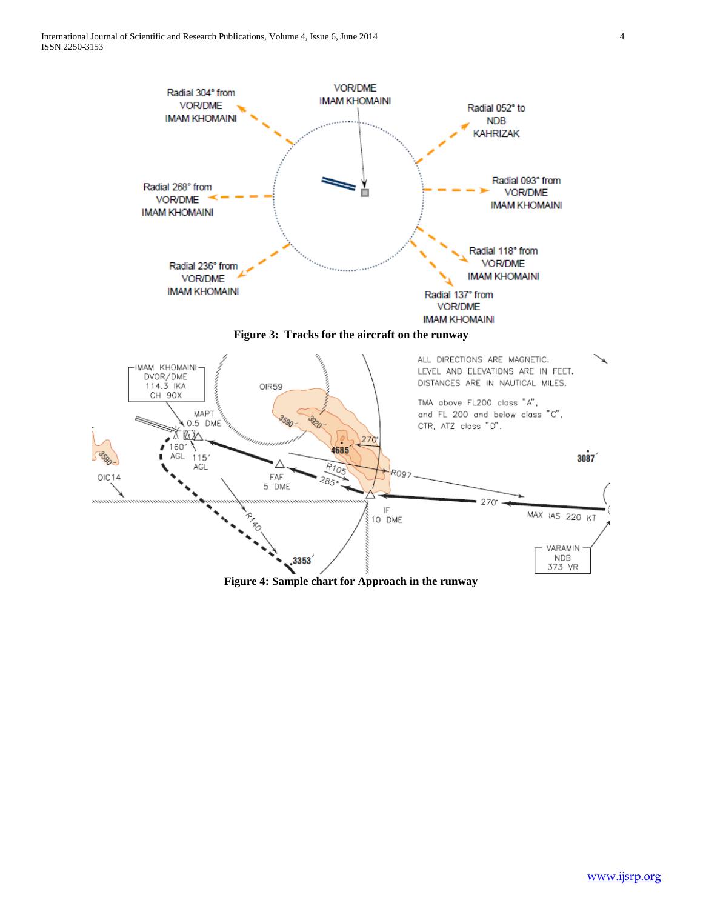

**Figure 4: Sample chart for Approach in the runway**

,3353

**NDB** 

373 VR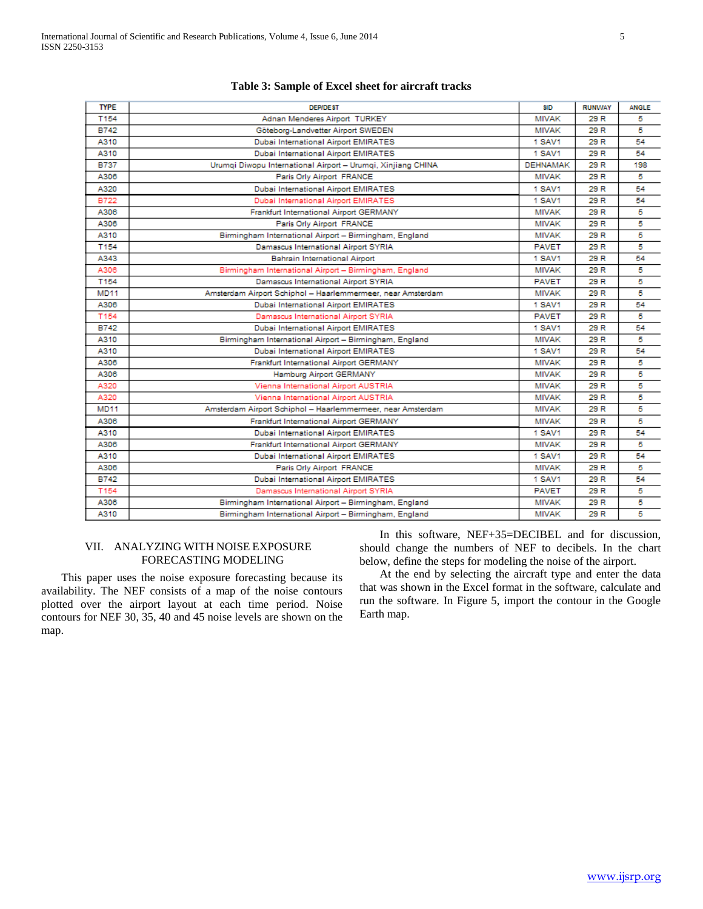| <b>TYPE</b> | <b>DEP/DEST</b>                                              | SID             | <b>RUNWAY</b> | <b>ANGLE</b> |
|-------------|--------------------------------------------------------------|-----------------|---------------|--------------|
| T154        | Adnan Menderes Airport TURKEY                                | <b>MIVAK</b>    | 29 R          | 5            |
| <b>B742</b> | Göteborg-Landvetter Airport SWEDEN                           | <b>MIVAK</b>    | 29 R          | 5            |
| A310        | Dubai International Airport EMIRATES                         | <b>1 SAV1</b>   | 29 R          | 54           |
| A310        | Dubai International Airport EMIRATES                         | <b>1 SAV1</b>   | 29 R          | 54           |
| <b>B737</b> | Urumqi Diwopu International Airport - Urumqi, Xinjiang CHINA | <b>DEHNAMAK</b> | 29 R          | 198          |
| A306        | Paris Orly Airport FRANCE                                    | <b>MIVAK</b>    | 29 R          | 5            |
| A320        | Dubai International Airport EMIRATES                         | <b>1 SAV1</b>   | 29 R          | 54           |
| <b>B722</b> | <b>Dubai International Airport EMIRATES</b>                  | <b>1 SAV1</b>   | 29 R          | 54           |
| A306        | Frankfurt International Airport GERMANY                      | <b>MIVAK</b>    | 29 R          | 5            |
| A306        | Paris Orly Airport FRANCE                                    | <b>MIVAK</b>    | 29 R          | 5            |
| A310        | Birmingham International Airport - Birmingham, England       | <b>MIVAK</b>    | 29 R          | 5            |
| T154        | Damascus International Airport SYRIA                         | <b>PAVET</b>    | 29 R          | 5            |
| A343        | <b>Bahrain International Airport</b>                         | <b>1 SAV1</b>   | 29 R          | 54           |
| A306        | Birmingham International Airport - Birmingham, England       | <b>MIVAK</b>    | 29 R          | 5            |
| T154        | Damascus International Airport SYRIA                         | <b>PAVET</b>    | 29 R          | 5            |
| <b>MD11</b> | Amsterdam Airport Schiphol - Haarlemmermeer, near Amsterdam  | <b>MIVAK</b>    | 29 R          | 5            |
| A306        | Dubai International Airport EMIRATES                         | <b>1 SAV1</b>   | 29 R          | 54           |
| T154        | Damascus International Airport SYRIA                         | <b>PAVET</b>    | 29 R          | 5            |
| <b>B742</b> | Dubai International Airport EMIRATES                         | <b>1 SAV1</b>   | 29 R          | 54           |
| A310        | Birmingham International Airport - Birmingham, England       | <b>MIVAK</b>    | 29 R          | 5            |
| A310        | Dubai International Airport EMIRATES                         | <b>1 SAV1</b>   | 29 R          | 54           |
| A306        | Frankfurt International Airport GERMANY                      | <b>MIVAK</b>    | 29 R          | 5            |
| A306        | Hamburg Airport GERMANY                                      | <b>MIVAK</b>    | 29 R          | 5            |
| A320        | Vienna International Airport AUSTRIA                         | <b>MIVAK</b>    | 29 R          | 5            |
| A320        | Vienna International Airport AUSTRIA                         | <b>MIVAK</b>    | 29 R          | 5            |
| <b>MD11</b> | Amsterdam Airport Schiphol - Haarlemmermeer, near Amsterdam  | <b>MIVAK</b>    | 29 R          | 5            |
| A306        | Frankfurt International Airport GERMANY                      | <b>MIVAK</b>    | 29 R          | 5            |
| A310        | Dubai International Airport EMIRATES                         | 1 SAV1          | 29 R          | 54           |
| A306        | Frankfurt International Airport GERMANY                      | <b>MIVAK</b>    | 29 R          | 5            |
| A310        | Dubai International Airport EMIRATES                         | <b>1 SAV1</b>   | 29 R          | 54           |
| A306        | Paris Orly Airport FRANCE                                    | <b>MIVAK</b>    | 29 R          | 5            |
| <b>B742</b> | Dubai International Airport EMIRATES                         | <b>1 SAV1</b>   | 29 R          | 54           |
| T154        | Damascus International Airport SYRIA                         | <b>PAVET</b>    | 29 R          | 5            |
| A306        | Birmingham International Airport - Birmingham, England       | <b>MIVAK</b>    | 29 R          | 5            |
| A310        | Birmingham International Airport - Birmingham, England       | <b>MIVAK</b>    | 29 R          | 5            |

#### **Table 3: Sample of Excel sheet for aircraft tracks**

#### VII. ANALYZING WITH NOISE EXPOSURE FORECASTING MODELING

 This paper uses the noise exposure forecasting because its availability. The NEF consists of a map of the noise contours plotted over the airport layout at each time period. Noise contours for NEF 30, 35, 40 and 45 noise levels are shown on the map.

 In this software, NEF+35=DECIBEL and for discussion, should change the numbers of NEF to decibels. In the chart below, define the steps for modeling the noise of the airport.

 At the end by selecting the aircraft type and enter the data that was shown in the Excel format in the software, calculate and run the software. In Figure 5, import the contour in the Google Earth map.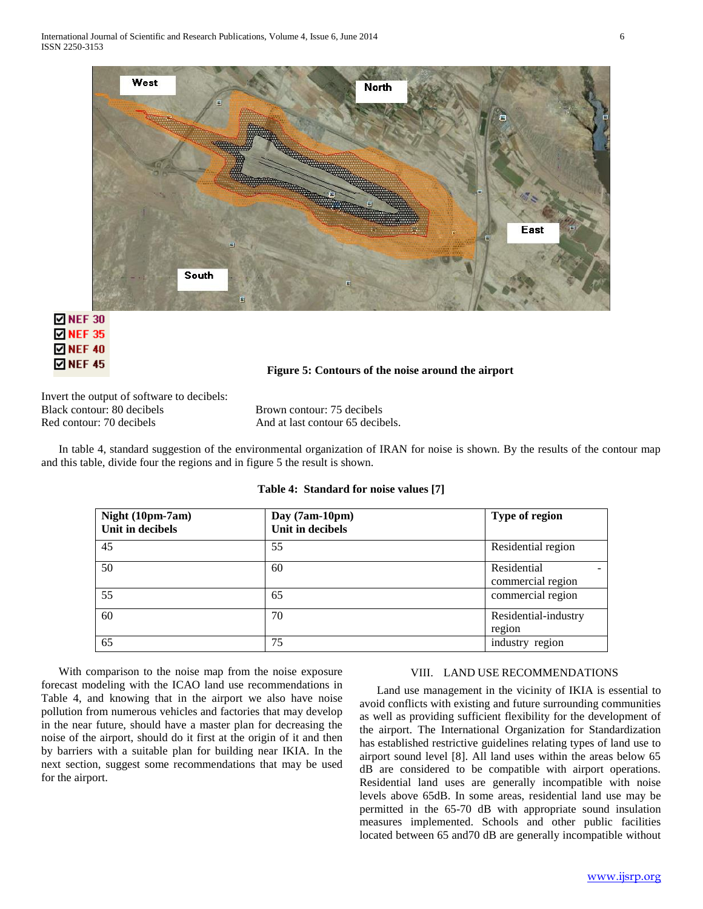

# $\boxtimes$  NEF 30 **☑ NEF 35**  $\boxtimes$  NEF 40 **ØNEF45**

# **Figure 5: Contours of the noise around the airport**

Invert the output of software to decibels: Black contour: 80 decibels Brown contour: 75 decibels Red contour: 70 decibels And at last contour 65 decibels.

 In table 4, standard suggestion of the environmental organization of IRAN for noise is shown. By the results of the contour map and this table, divide four the regions and in figure 5 the result is shown.

| Night (10pm-7am)<br>Unit in decibels | Day (7am-10pm)<br>Unit in decibels | Type of region                   |
|--------------------------------------|------------------------------------|----------------------------------|
| 45                                   | 55                                 | Residential region               |
| 50                                   | 60                                 | Residential<br>commercial region |
| 55                                   | 65                                 | commercial region                |
| 60                                   | 70                                 | Residential-industry<br>region   |
| 65                                   | 75                                 | industry region                  |

# **Table 4: Standard for noise values [7]**

 With comparison to the noise map from the noise exposure forecast modeling with the ICAO land use recommendations in Table 4, and knowing that in the airport we also have noise pollution from numerous vehicles and factories that may develop in the near future, should have a master plan for decreasing the noise of the airport, should do it first at the origin of it and then by barriers with a suitable plan for building near IKIA. In the next section, suggest some recommendations that may be used for the airport.

# VIII. LAND USE RECOMMENDATIONS

 Land use management in the vicinity of IKIA is essential to avoid conflicts with existing and future surrounding communities as well as providing sufficient flexibility for the development of the airport. The International Organization for Standardization has established restrictive guidelines relating types of land use to airport sound level [8]. All land uses within the areas below 65 dB are considered to be compatible with airport operations. Residential land uses are generally incompatible with noise levels above 65dB. In some areas, residential land use may be permitted in the 65-70 dB with appropriate sound insulation measures implemented. Schools and other public facilities located between 65 and70 dB are generally incompatible without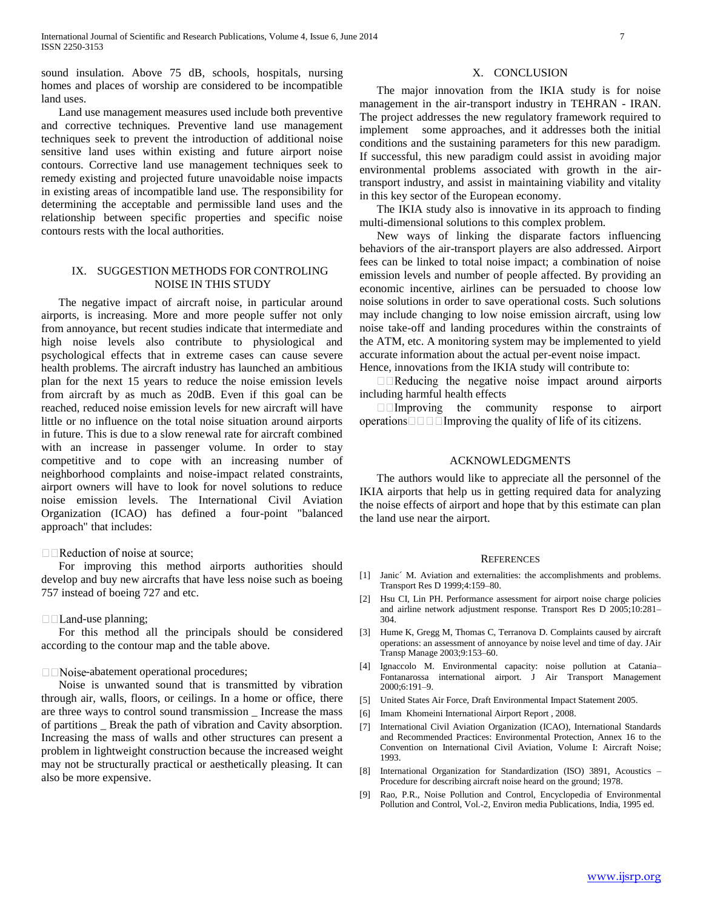sound insulation. Above 75 dB, schools, hospitals, nursing homes and places of worship are considered to be incompatible land uses.

 Land use management measures used include both preventive and corrective techniques. Preventive land use management techniques seek to prevent the introduction of additional noise sensitive land uses within existing and future airport noise contours. Corrective land use management techniques seek to remedy existing and projected future unavoidable noise impacts in existing areas of incompatible land use. The responsibility for determining the acceptable and permissible land uses and the relationship between specific properties and specific noise contours rests with the local authorities.

#### IX. SUGGESTION METHODS FOR CONTROLING NOISE IN THIS STUDY

 The negative impact of aircraft noise, in particular around airports, is increasing. More and more people suffer not only from annoyance, but recent studies indicate that intermediate and high noise levels also contribute to physiological and psychological effects that in extreme cases can cause severe health problems. The aircraft industry has launched an ambitious plan for the next 15 years to reduce the noise emission levels from aircraft by as much as 20dB. Even if this goal can be reached, reduced noise emission levels for new aircraft will have little or no influence on the total noise situation around airports in future. This is due to a slow renewal rate for aircraft combined with an increase in passenger volume. In order to stay competitive and to cope with an increasing number of neighborhood complaints and noise-impact related constraints, airport owners will have to look for novel solutions to reduce noise emission levels. The International Civil Aviation Organization (ICAO) has defined a four-point "balanced approach" that includes:

#### $\Box$  Reduction of noise at source;

 For improving this method airports authorities should develop and buy new aircrafts that have less noise such as boeing 757 instead of boeing 727 and etc.

#### $\Box$  Land-use planning;

 For this method all the principals should be considered according to the contour map and the table above.

#### $\Box$  Noise-abatement operational procedures;

 Noise is unwanted sound that is transmitted by vibration through air, walls, floors, or ceilings. In a home or office, there are three ways to control sound transmission \_ Increase the mass of partitions \_ Break the path of vibration and Cavity absorption. Increasing the mass of walls and other structures can present a problem in lightweight construction because the increased weight may not be structurally practical or aesthetically pleasing. It can also be more expensive.

#### X. CONCLUSION

 The major innovation from the IKIA study is for noise management in the air-transport industry in TEHRAN - IRAN. The project addresses the new regulatory framework required to implement some approaches, and it addresses both the initial conditions and the sustaining parameters for this new paradigm. If successful, this new paradigm could assist in avoiding major environmental problems associated with growth in the airtransport industry, and assist in maintaining viability and vitality in this key sector of the European economy.

 The IKIA study also is innovative in its approach to finding multi-dimensional solutions to this complex problem.

 New ways of linking the disparate factors influencing behaviors of the air-transport players are also addressed. Airport fees can be linked to total noise impact; a combination of noise emission levels and number of people affected. By providing an economic incentive, airlines can be persuaded to choose low noise solutions in order to save operational costs. Such solutions may include changing to low noise emission aircraft, using low noise take-off and landing procedures within the constraints of the ATM, etc. A monitoring system may be implemented to yield accurate information about the actual per-event noise impact. Hence, innovations from the IKIA study will contribute to:

 $\Box$  Reducing the negative noise impact around airports including harmful health effects

 $\Box$  Improving the community response to airport operations  $\Box$   $\Box$   $\Box$  Improving the quality of life of its citizens.

# ACKNOWLEDGMENTS

 The authors would like to appreciate all the personnel of the IKIA airports that help us in getting required data for analyzing the noise effects of airport and hope that by this estimate can plan the land use near the airport.

#### **REFERENCES**

- [1] Janic´ M. Aviation and externalities: the accomplishments and problems. Transport Res D 1999;4:159–80.
- [2] Hsu CI, Lin PH. Performance assessment for airport noise charge policies and airline network adjustment response. Transport Res D 2005;10:281– 304.
- [3] Hume K, Gregg M, Thomas C, Terranova D. Complaints caused by aircraft operations: an assessment of annoyance by noise level and time of day. JAir Transp Manage 2003;9:153–60.
- [4] Ignaccolo M. Environmental capacity: noise pollution at Catania– Fontanarossa international airport. J Air Transport Management 2000;6:191–9.
- [5] United States Air Force, Draft Environmental Impact Statement 2005.
- [6] Imam Khomeini International Airport Report, 2008.
- [7] International Civil Aviation Organization (ICAO), International Standards and Recommended Practices: Environmental Protection, Annex 16 to the Convention on International Civil Aviation, Volume I: Aircraft Noise; 1993.
- [8] International Organization for Standardization (ISO) 3891, Acoustics Procedure for describing aircraft noise heard on the ground; 1978.
- [9] Rao, P.R., Noise Pollution and Control, Encyclopedia of Environmental Pollution and Control, Vol.-2, Environ media Publications, India, 1995 ed.